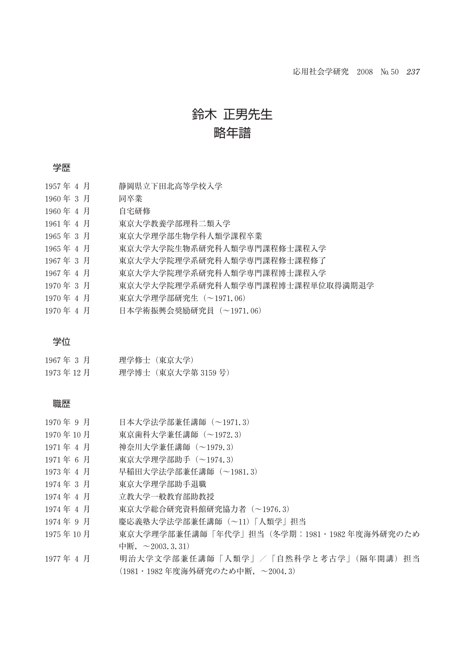# 鈴木 正男先生

### 略年譜

#### 学歴

| 1957年 4 月 | 静岡県立下田北高等学校入学 |
|-----------|---------------|
| 1960年3月   | 同卒業           |

1960 年 4 月 自宅研修

- 1961 年 4 月 東京大学教養学部理科二類入学
- 1965 年 3 月 東京大学理学部生物学科人類学課程卒業
- 1965 年 4 月 東京大学大学院生物系研究科人類学専門課程修士課程入学
- 1967 年 3 月 東京大学大学院理学系研究科人類学専門課程修士課程修了
- 1967 年 4 月 東京大学大学院理学系研究科人類学専門課程博士課程入学
- 1970 年 3 月 東京大学大学院理学系研究科人類学専門課程博士課程単位取得満期退学
- 1970 年 4 月 東京大学理学部研究生(~1971.06)
- 1970 年 4 月 日本学術振興会奨励研究員(~1971.06)

#### 学位

| 1967年 3 月   | 理学修士(東京大学)         |
|-------------|--------------------|
| 1973 年 12 月 | 理学博士(東京大学第 3159 号) |

#### 職歴

- 1970 年 9 月 日本大学法学部兼任講師(~1971.3)
- 1970 年 10 月 東京歯科大学兼任講師(~1972.3)
- 1971 年 4 月 神奈川大学兼任講師(~1979.3)
- 1971 年 6 月 東京大学理学部助手(~1974.3)
- 1973 年 4 月 早稲田大学法学部兼任講師(~1981.3)
- 1974 年 3 月 東京大学理学部助手退職
- 1974 年 4 月 立教大学一般教育部助教授
- 1974 年 4 月 東京大学総合研究資料館研究協力者(~1976.3)
- 1974年 9 月 慶応義塾大学法学部兼任講師 (~11)「人類学」担当
- 1975 年 10 月 東京大学理学部兼任講師「年代学」担当(冬学期:1981・1982 年度海外研究のため 中断,  $\sim$  2003.3.31)
- 1977年 4 月 明治大学文学部兼任講師「人類学」/「自然科学と考古学」(隔年開講)担当 (1981・1982 年度海外研究のため中断,~2004.3)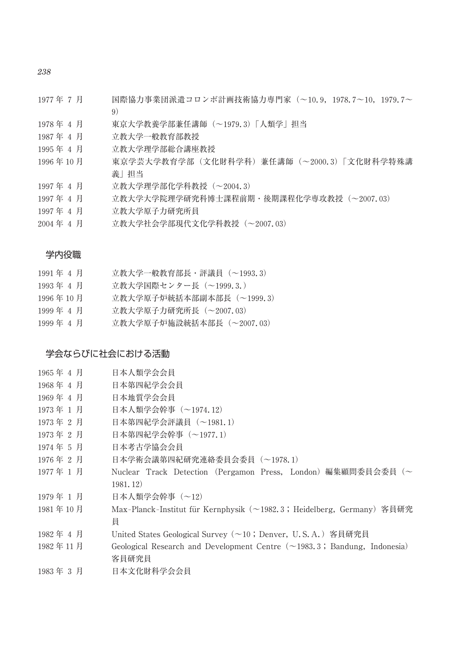*238*

- 1977 年 7 月 国際協力事業団派遣コロンボ計画技術協力専門家(~10.9,1978.7~10,1979.7~ 9)
- 1978 年 4 月 東京大学教養学部兼任講師(~1979.3)「人類学」担当
- 1987 年 4 月 立教大学一般教育部教授
- 1995 年 4 月 立教大学理学部総合講座教授
- 1996 年 10 月 東京学芸大学教育学部(文化財科学科)兼任講師(~2000.3)「文化財科学特殊講 義」担当
- 1997 年 4 月 立教大学理学部化学科教授(~2004.3)
- 1997 年 4 月 立教大学大学院理学研究科博士課程前期・後期課程化学専攻教授(~2007.03)
- 1997 年 4 月 立教大学原子力研究所員
- 2004 年 4 月 立教大学社会学部現代文化学科教授(~2007.03)

#### 学内役職

- 1991年 4 月 立教大学一般教育部長·評議員 (~1993.3)
- 1993 年 4 月 立教大学国際センター長(~1999.3.)
- 1996 年 10 月 立教大学原子炉統括本部副本部長(~1999.3)
- 1999 年 4 月 立教大学原子力研究所長(~2007.03)
- 1999 年 4 月 立教大学原子炉施設統括本部長(~2007.03)

#### 学会ならびに社会における活動

| 1965年 4 月 | 日本人類学会会員 |
|-----------|----------|
|-----------|----------|

- 1968 年 4 月 日本第四紀学会会員
- 1969 年 4 月 日本地質学会会員
- 1973 年 1 月 日本人類学会幹事(~1974.12)
- 1973 年 2 月 日本第四紀学会評議員(~1981.1)
- 1973 年 2 月 日本第四紀学会幹事(~1977.1)
- 1974 年 5 月 日本考古学協会会員
- 1976 年 2 月 日本学術会議第四紀研究連絡委員会委員(~1978.1)
- 1977 年 1 月 Nuclear Track Detection (Pergamon Press, London)編集顧問委員会委員(~ 1981.12)
- 1979 年 1 月 日本人類学会幹事(~12)
- 1981年10月 Max-Planck-Institut für Kernphysik (~1982.3;Heidelberg, Germany) 客員研究 員
- 1982 年 4 月 United States Geological Survey (~10 ; Denver, U.S.A.)客員研究員
- 1982 年 11 月 Geological Research and Development Centre (~1983.3 ; Bandung, Indonesia) 客員研究員
- 1983 年 3 月 日本文化財科学会会員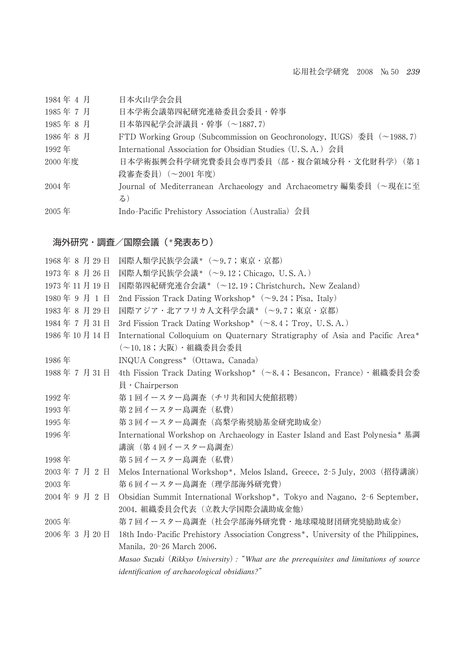| 1984年4月 | 日本火山学会会員 |
|---------|----------|
|---------|----------|

1985 年 7 月 日本学術会議第四紀研究連絡委員会委員・幹事

1985 年 8 月 日本第四紀学会評議員・幹事(~1887.7)

1986年 8 月 FTD Working Group (Subcommission on Geochronology, IUGS) 委員 (~1988.7) 1992 年 International Association for Obsidian Studies (U.S.A.)会員

2000 年度 日本学術振興会科学研究費委員会専門委員(部・複合領域分科・文化財科学)(第 1 段審査委員)(~2001 年度)

2004 年 Journal of Mediterranean Archaeology and Archaeometry 編集委員(~現在に至 る)

2005 年 Indo┳Pacific Prehistory Association (Australia)会員

#### 海外研究・調査/国際会議 (\*発表あり)

| 1968年8月29日  | 国際人類学民族学会議* (~9.7;東京・京都)                                                                                 |
|-------------|----------------------------------------------------------------------------------------------------------|
| 1973年8月26日  | 国際人類学民族学会議* (~9.12;Chicago,U.S.A.)                                                                       |
| 1973年11月19日 | 国際第四紀研究連合会議* (~12.19; Christchurch, New Zealand)                                                         |
| 1980年9月1日   | 2nd Fission Track Dating Workshop* $(\sim 9.24$ ; Pisa, Italy)                                           |
| 1983年8月29日  | 国際アジア・北アフリカ人文科学会議*(~9.7;東京・京都)                                                                           |
| 1984年7月31日  | 3rd Fission Track Dating Workshop* $(\sim 8.4$ ; Troy, U.S.A.)                                           |
| 1986年10月14日 | International Colloquium on Quaternary Stratigraphy of Asia and Pacific Area*<br>(~10.18;大阪)・組織委員会委員     |
| 1986年       | INQUA Congress* (Ottawa, Canada)                                                                         |
| 1988年7月31日  | 4th Fission Track Dating Workshop* (~8.4; Besancon, France) · 組織委員会委                                     |
|             | $\exists$ • Chairperson                                                                                  |
| 1992年       | 第1回イースター島調査(チリ共和国大使館招聘)                                                                                  |
| 1993年       | 第2回イースター島調査 (私費)                                                                                         |
| 1995年       | 第3回イースター島調査 (高梨学術奨励基金研究助成金)                                                                              |
| 1996年       | International Workshop on Archaeology in Easter Island and East Polynesia* 基調<br>講演(第4回イースター島調査)         |
| 1998年       | 第5回イースター島調査 (私費)                                                                                         |
| 2003年7月2日   | Melos International Workshop <sup>*</sup> , Melos Island, Greece, 2-5 July, 2003 (招待講演)                  |
| $2003$ 年    | 第6回イースター島調査(理学部海外研究費)                                                                                    |
| 2004年9月2日   | Obsidian Summit International Workshop*, Tokyo and Nagano, 2-6 September,<br>2004. 組織委員会代表(立教大学国際会議助成金他) |
| $2005$ 年    | 第7回イースター島調査 (社会学部海外研究費・地球環境財団研究奨励助成金)                                                                    |
| 2006年3月20日  | 18th Indo-Pacific Prehistory Association Congress <sup>*</sup> , University of the Philippines,          |
|             | Manila, 20-26 March 2006.                                                                                |
|             | Masao Suzuki (Rikkyo University): "What are the prerequisites and limitations of source                  |
|             | <i>identification of archaeological obsidians?"</i>                                                      |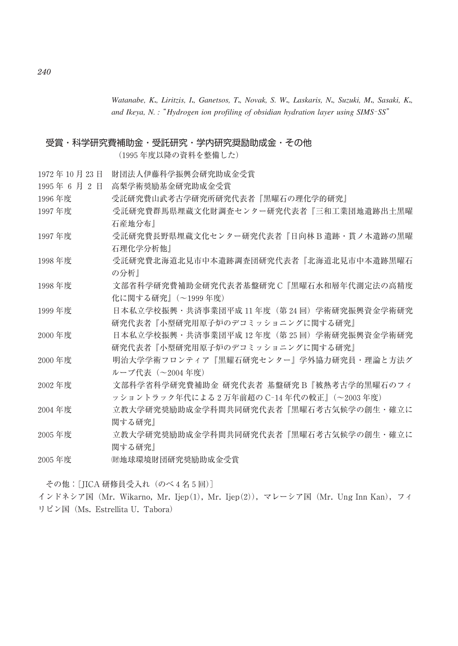*Watanabe, K*χ*, Liritzis, I*χ*, Ganetsos, T*χ*, Novak, S. W*χ*, Laskaris, N*χ*, Suzuki, M*χ*, Sasaki, K*χ*, and Ikeya, N. : "Hydrogen ion profiling of obsidian hydration layer using SIMS-SS"* 

#### 受賞・科学研究費補助金・受託研究・学内研究奨励助成金・その他

(1995 年度以降の資料を整備した)

- 1972 年 10 月 23 日 財団法人伊藤科学振興会研究助成金受賞
- 1995 年6月2 日 高梨学術奨励基金研究助成金受賞
- 1996 年度 受託研究費山武考古学研究所研究代表者『黒曜石の理化学的研究』
- 1997 年度 受託研究費群馬県埋蔵文化財調査センター研究代表者『三和工業団地遺跡出土黒曜 石産地分布』
- 1997 年度 受託研究費長野県埋蔵文化センター研究代表者『日向林 B 遺跡・貫ノ木遺跡の黒曜 石理化学分析他』
- 1998 年度 受託研究費北海道北見市中本遺跡調査団研究代表者『北海道北見市中本遺跡黒曜石 の分析』
- 1998 年度 文部省科学研究費補助金研究代表者基盤研究 C『黒曜石水和層年代測定法の高精度 化に関する研究』(~1999 年度)
- 1999 年度 インストランド 日本私立学校振興·共済事業団平成 11 年度 (第24回) 学術研究振興資金学術研究 研究代表者『小型研究用原子炉のデコミッショニングに関する研究』
- 2000 年度 日本私立学校振興・共済事業団平成 12 年度(第 25 回)学術研究振興資金学術研究 研究代表者『小型研究用原子炉のデコミッショニングに関する研究』
- 2000 年度 明治大学学術フロンティア『黒耀石研究センター』学外協力研究員・理論と方法グ ループ代表(~2004 年度)
- 2002 年度 文部科学省科学研究費補助金 研究代表者 基盤研究 B『被熱考古学的黒曜石のフィ ッショントラック年代による 2 万年前超の C-14 年代の較正』(~2003 年度)
- 2004 年度 立教大学研究奨励助成金学科間共同研究代表者『黒曜石考古気候学の創生・確立に 関する研究』
- 2005 年度 立教大学研究奨励助成金学科間共同研究代表者『黒曜石考古気候学の創生・確立に 関する研究』
- 2005年度 (助地球環境財団研究奨励助成金受賞

その他:[JICA 研修員受入れ(のべ 4 名 5 回)]

インドネシア国 (Mr. Wikarno, Mr. Ijep(1), Mr. Ijep(2)), マレーシア国 (Mr. Ung Inn Kan), フィ リピン国(Ms. Estrellita U. Tabora)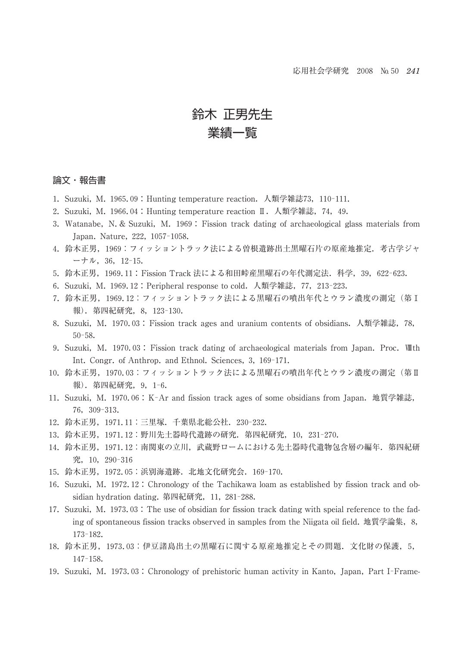## 鈴木 正男先生 業績一覧

#### 論文・報告書

- 1. Suzuki, M. 1965.09: Hunting temperature reaction. 人類学雑誌73, 110-111.
- 2. Suzuki, M. 1966.04 : Hunting temperature reaction Ⅱ. 人類学雑誌, 74, 49.
- 3. Watanabe, N.& Suzuki, M. 1969 : Fission track dating of archaeological glass materials from Japan. Nature, 222, 1057-1058.
- 4. 鈴木正男,1969:フィッショントラック法による曽根遺跡出土黒曜石片の原産地推定.考古学ジャ  $-+1$   $\mu$ , 36, 12-15.
- 5. 鈴木正男, 1969.11 : Fission Track 法による和田峠産黒曜石の年代測定法. 科学, 39, 622-623.
- 6. Suzuki, M. 1969.12 : Peripheral response to cold. 人類学雑誌, 77, 213-223.
- 7. 鈴木正男,1969.12:フィッショントラック法による黒曜石の噴出年代とウラン濃度の測定(第Ⅰ 報). 第四紀研究, 8, 123-130.
- 8. Suzuki, M. 1970.03 : Fission track ages and uranium contents of obsidians.人類学雑誌,78,  $50 - 58.$
- 9. Suzuki, M. 1970.03 : Fission track dating of archaeological materials from Japan. Proc. Ⅷth Int. Congr. of Anthrop. and Ethnol. Sciences, 3, 169-171.
- 10. 鈴木正男,1970.03:フィッショントラック法による黒曜石の噴出年代とウラン濃度の測定(第Ⅱ 報). 第四紀研究, 9, 1-6.
- 11. Suzuki, M. 1970.06: K-Ar and fission track ages of some obsidians from Japan. 地質学雑誌, 76,309┡313.
- 12. 鈴木正男, 1971.11: 三里塚. 千葉県北総公社. 230-232.
- 13. 鈴木正男, 1971.12:野川先土器時代遺跡の研究. 第四紀研究, 10, 231-270.
- 14. 鈴木正男, 1971.12: 南関東の立川,武蔵野ロームにおける先土器時代遺物包含層の編年. 第四紀研 究, 10, 290-316
- 15. 鈴木正男, 1972.05: 浜別海遺跡. 北地文化研究会. 169-170.
- 16. Suzuki, M. 1972.12 : Chronology of the Tachikawa loam as established by fission track and obsidian hydration dating. 第四紀研究, 11, 281-288.
- 17. Suzuki, M. 1973.03 : The use of obsidian for fission track dating with speial reference to the fading of spontaneous fission tracks observed in samples from the Niigata oil field. 地質学論集,8, 173┡182.
- 18. 鈴木正男, 1973.03:伊豆諸島出土の黒曜石に関する原産地推定とその問題. 文化財の保護, 5,  $147 - 158.$
- 19. Suzuki, M. 1973.03 : Chronology of prehistoric human activity in Kanto, Japan, Part I-Frame-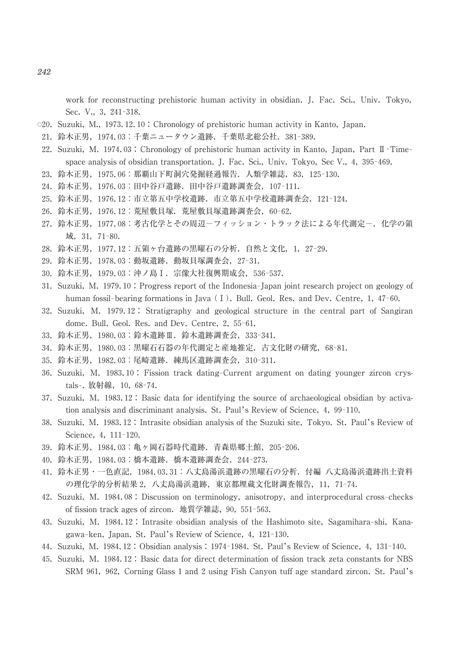work for reconstructing prehistoric human activity in obsidian. J. Fac. Sci., Univ. Tokyo, Sec. V., 3, 241-318.

- 020. Suzuki, M., 1973.12.10 : Chronology of prehistoric human activity in Kanto, Japan.
- 21. 鈴木正男, 1974.03:千葉ニュータウン遺跡. 千葉県北総公社. 381-389.
- 22. Suzuki, M. 1974.03 : Chronology of prehistoric human activity in Kanto, Japan, Part II-Time space analysis of obsidian transportation. J. Fac. Sci., Univ. Tokyo, Sec V.,  $4$ ,  $395-469$ .
- 23. 鈴木正男, 1975.06: 那覇山下町洞穴発掘経過報告. 人類学雑誌, 83, 125-130.
- 24. 鈴木正男, 1976.03: 田中谷戸遺跡. 田中谷戸遺跡調査会, 107-111.
- 25. 鈴木正男, 1976.12: 市立第五中学校遺跡. 市立第五中学校遺跡調査会, 121-124.
- 26. 鈴木正男, 1976.12:荒屋敷貝塚. 荒屋敷貝塚遺跡調査会, 60-62.
- 27. 鈴木正男, 1977.08: 考古化学とその周辺ーフィッション・トラック法による年代測定ー. 化学の領 域, 31, 71-80.
- 28. 鈴木正男,1977.12:五領ヶ台遺跡の黒曜石の分析. 自然と文化,1,27-29.
- 29. 鈴木正男, 1978.03: 動坂遺跡. 動坂貝塚調査会, 27-31.
- 30. 鈴木正男, 1979.03: 沖ノ島 I. 宗像大社復興期成会, 536-537.
- 31. Suzuki, M. 1979.10 : Progress report of the Indonesia–Japan joint research project on geology of human fossil-bearing formations in Java  $(1)$ . Bull. Geol. Res. and Dev. Centre, 1, 47–60.
- 32. Suzuki, M. 1979.12 : Stratigraphy and geological structure in the central part of Sangiran dome. Bull. Geol. Res. and Dev. Centre, 2, 55-61.
- 33. 鈴木正男, 1980.03: 鈴木遺跡Ⅲ. 鈴木遺跡調査会, 333-341.
- 34. 鈴木正男, 1980.03:黒曜石石器の年代測定と産地推定. 古文化財の研究, 68-81.
- 35. 鈴木正男, 1982.03: 尾崎遺跡. 練馬区遺跡調査会, 310-311.
- 36. Suzuki, M. 1983.10: Fission track dating–Current argument on dating younger zircon crystals-. 放射線, 10, 68-74.
- 37. Suzuki, M. 1983.12 : Basic data for identifying the source of archaeological obsidian by activation analysis and discriminant analysis. St. Paul's Review of Science,  $4$ ,  $99-110$ .
- 38. Suzuki, M. 1983.12 : Intrasite obsidian analysis of the Suzuki site, Tokyo. St. Paul's Review of Science, 4, 111-120.
- 39. 鈴木正男, 1984.03: 亀ヶ岡石器時代遺跡. 青森県郷土館, 205-206.
- 40. 鈴木正男, 1984.03: 橋本遺跡. 橋本遺跡調査会, 244-273.
- 41. 鈴木正男・一色直記,1984.03.31:八丈島湯浜遺跡の黒曜石の分析.付編 八丈島湯浜遺跡出土資料 の理化学的分析結果 2, 八丈島湯浜遺跡, 東京都埋蔵文化財調査報告, 11, 71-74.
- 42. Suzuki, M. 1984.08 : Discussion on terminology, anisotropy, and interprocedural cross-checks of fission track ages of zircon. 地質学雑誌, 90, 551-563.
- 43. Suzuki, M. 1984.12: Intrasite obsidian analysis of the Hashimoto site, Sagamihara-shi, Kanagawa-ken, Japan. St. Paul's Review of Science, 4, 121-130.
- 44. Suzuki, M. 1984.12 : Obsidian analysis : 1974–1984. St. Paul's Review of Science, 4, 131–140.
- 45. Suzuki, M. 1984.12 : Basic data for direct determination of fission track zeta constants for NBS SRM 961, 962, Corning Glass 1 and 2 using Fish Canyon tuff age standard zircon. St. Paul's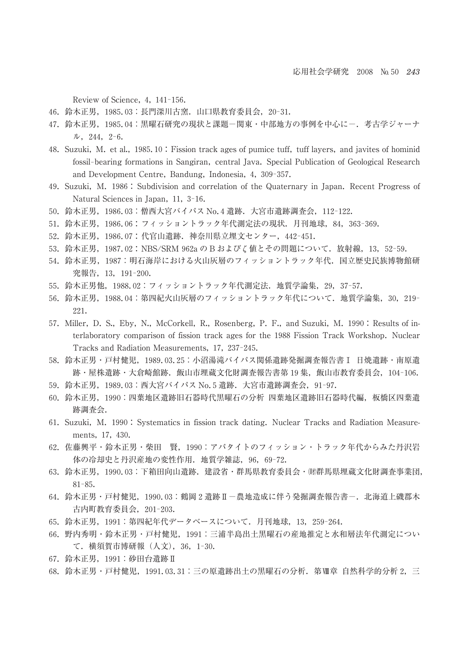Review of Science, 4, 141-156.

- 46. 鈴木正男, 1985.03: 長門深川古窯. 山口県教育委員会, 20-31.
- 47. 鈴木正男, 1985.04:黒曜石研究の現状と課題一関東・中部地方の事例を中心にー. 考古学ジャーナ  $\n *W*, 244, 2-6.$
- 48. Suzuki, M. et al., 1985.10 : Fission track ages of pumice tuff, tuff layers, and javites of hominid fossil-bearing formations in Sangiran, central Java. Special Publication of Geological Research and Development Centre, Bandung, Indonesia, 4, 309-357.
- 49. Suzuki, M. 1986 : Subdivision and correlation of the Quaternary in Japan. Recent Progress of Natural Sciences in Japan, 11, 3-16.
- 50. 鈴木正男, 1986.03:僧西大宮バイパス No.4 遺跡. 大宮市遺跡調査会, 112-122.
- 51. 鈴木正男, 1986.06: フィッショントラック年代測定法の現状. 月刊地球, 84, 363-369.
- 52. 鈴木正男, 1986.07: 代官山遺跡. 神奈川県立埋文センター, 442-451.
- 53. 鈴木正男, 1987.02 : NBS/SRM 962a の B および に値とその問題について. 放射線, 13,52-59.
- 54. 鈴木正男, 1987: 明石海岸における火山灰層のフィッショントラック年代. 国立歴史民族博物館研 究報告, 13, 191-200.
- 55. 鈴木正男他, 1988.02:フィッショントラック年代測定法. 地質学論集, 29, 37-57.
- 56. 鈴木正男, 1988.04: 第四紀火山灰層のフィッショントラック年代について. 地質学論集, 30, 219-221.
- 57. Miller, D. S., Eby, N., McCorkell, R., Rosenberg, P. F., and Suzuki, M. 1990 : Results of interlaboratory comparison of fission track ages for the 1988 Fission Track Workshop. Nuclear Tracks and Radiation Measurements, 17, 237-245.
- 58. 鈴木正男・戸村健児,1989.03.25:小沼湯滝バイパス関係遺跡発掘調査報告書Ⅰ 日焼遺跡・南原遺 跡・屋株遺跡・大倉崎館跡. 飯山市埋蔵文化財調査報告書第 19 集, 飯山市教育委員会, 104-106.
- 59. 鈴木正男, 1989.03: 西大宮バイパス No.5 遺跡. 大宮市遺跡調査会, 91-97.
- 60. 鈴木正男,1990:四葉地区遺跡旧石器時代黒曜石の分析 四葉地区遺跡旧石器時代編,板橋区四葉遺 跡調査会.
- 61. Suzuki, M. 1990 : Systematics in fission track dating. Nuclear Tracks and Radiation Measurements, 17, 430.
- 62. 佐藤興平・鈴木正男・柴田 賢,1990:アパタイトのフィッション・トラック年代からみた丹沢岩 体の冷却史と丹沢産地の変性作用. 地質学雑誌, 96, 69-72.
- 63. 鈴木正男, 1990.03:下箱田向山遺跡. 建設省・群馬県教育委員会・(財群馬県埋蔵文化財調査事業団,  $81 - 85.$
- 64. 鈴木正男・戸村健児, 1990.03: 鶴岡 2 遺跡Ⅱ–農地造成に伴う発掘調査報告書ー. 北海道上磯郡木 古内町教育委員会, 201-203.
- 65. 鈴木正男, 1991: 第四紀年代データベースについて. 月刊地球, 13, 259-264.
- 66. 野内秀明・鈴木正男・戸村健児,1991:三浦半島出土黒曜石の産地推定と水和層法年代測定につい て. 横須賀市博研報 (人文), 36, 1-30.
- 67. 鈴木正男,1991:砂田台遺跡Ⅱ
- 68. 鈴木正男・戸村健児, 1991.03.31:三の原遺跡出土の黒曜石の分析. 第Ⅲ章 自然科学的分析 2, 三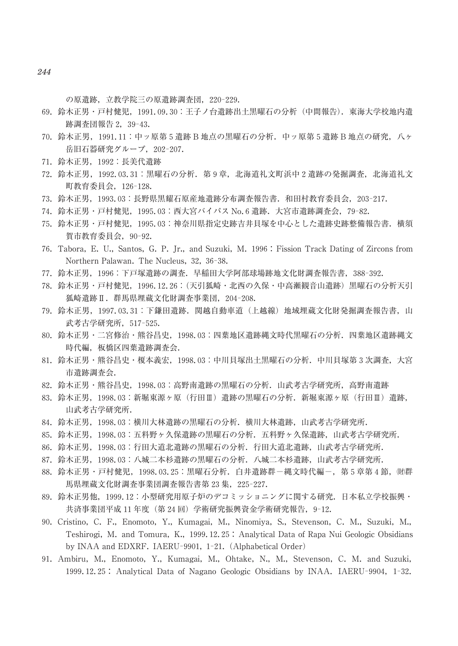の原遺跡,立教学院三の原遺跡調査団, 220-229.

- 69. 鈴木正男・戸村健児,1991.09.30:王子ノ台遺跡出土黒曜石の分析(中間報告).東海大学校地内遺 跡調査団報告 2, 39-43.
- 70. 鈴木正男,1991.11:中ッ原第 5 遺跡 B 地点の黒曜石の分析.中ッ原第 5 遺跡 B 地点の研究,八ヶ 岳旧石器研究グループ, 202-207.
- 71. 鈴木正男,1992:長美代遺跡
- 72. 鈴木正男,1992.03.31:黒曜石の分析.第 9 章,北海道礼文町浜中 2 遺跡の発掘調査,北海道礼文 町教育委員会,126┡128.
- 73. 鈴木正男, 1993.03: 長野県黒耀石原産地遺跡分布調査報告書. 和田村教育委員会, 203-217.
- 74. 鈴木正男・戸村健児, 1995.03: 西大宮バイパス No.6 遺跡. 大宮市遺跡調査会, 79-82.
- 75. 鈴木正男・戸村健児,1995.03:神奈川県指定史跡吉井貝塚を中心とした遺跡史跡整備報告書.横須 賀市教育委員会, 90-92.
- 76. Tabora, E. U., Santos, G. P. Ir., and Suzuki, M. 1996 : Fission Track Dating of Zircons from Northern Palawan. The Nucleus, 32, 36-38.
- 77. 鈴木正男, 1996:下戸塚遺跡の調査. 早稲田大学阿部球場跡地文化財調査報告書, 388-392.
- 78. 鈴木正男・戸村健児,1996.12.26:(天引狐崎・北西の久保・中高瀬観音山遺跡)黒曜石の分析天引 狐崎遺跡Ⅱ. 群馬県埋蔵文化財調査事業団, 204-208.
- 79. 鈴木正男,1997.03.31:下鎌田遺跡.関越自動車道(上越線)地域埋蔵文化財発掘調査報告書,山 武考古学研究所, 517-525.
- 80. 鈴木正男・二宮修治・熊谷昌史,1998.03:四葉地区遺跡縄文時代黒曜石の分析.四葉地区遺跡縄文 時代編, 板橋区四葉遺跡調査会.
- 81. 鈴木正男・熊谷昌史・榎本義宏,1998.03:中川貝塚出土黒曜石の分析.中川貝塚第 3 次調査,大宮 市遺跡調査会.
- 82. 鈴木正男・熊谷昌史,1998.03:高野南遺跡の黒曜石の分析.山武考古学研究所,高野南遺跡
- 83. 鈴木正男,1998.03:新堀東源ヶ原(行田Ⅲ)遺跡の黒曜石の分析.新堀東源ヶ原(行田Ⅲ)遺跡, 山武考古学研究所.
- 84. 鈴木正男,1998.03:横川大林遺跡の黒曜石の分析.横川大林遺跡,山武考古学研究所.
- 85. 鈴木正男,1998.03:五料野ヶ久保遺跡の黒曜石の分析.五料野ヶ久保遺跡,山武考古学研究所.
- 86. 鈴木正男,1998.03:行田大道北遺跡の黒曜石の分析.行田大道北遺跡,山武考古学研究所.
- 87. 鈴木正男,1998.03:八城二本杉遺跡の黒曜石の分析.八城二本杉遺跡,山武考古学研究所.
- 88. 鈴木正男・戸村健児, 1998.03.25:黒曜石分析. 白井遺跡群一縄文時代編一, 第 5 章第 4 節, (財群 馬県埋蔵文化財調査事業団調査報告書第 23 集, 225-227.
- 89. 鈴木正男他,1999.12:小型研究用原子炉のデコミッショニングに関する研究.日本私立学校振興・ 共済事業団平成 11年度(第 24 回)学術研究振興資金学術研究報告, 9-12.
- 90. Cristino, C. F., Enomoto, Y., Kumagai, M., Ninomiya, S., Stevenson, C. M., Suzuki, M., Teshirogi, M. and Tomura, K., 1999.12.25 : Analytical Data of Rapa Nui Geologic Obsidians by INAA and EDXRF. IAERU-9901, 1-21. (Alphabetical Order)
- 91. Ambiru, M., Enomoto, Y., Kumagai, M., Ohtake, N., M., Stevenson, C. M. and Suzuki, 1999.12.25 : Analytical Data of Nagano Geologic Obsidians by INAA. IAERU-9904, 1-32.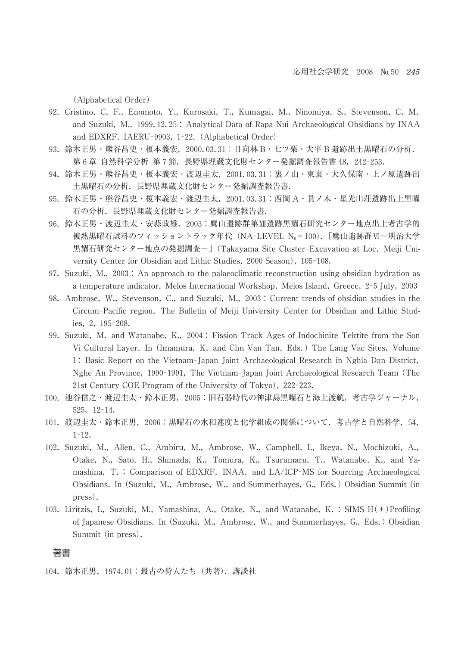(Alphabetical Order)

- 92. Cristino, C. F., Enomoto, Y., Kurosaki, T., Kumagai, M., Ninomiya, S., Stevenson, C. M. and Suzuki, M., 1999.12.25 : Analytical Data of Rapa Nui Archaeological Obsidians by INAA and EDXRF. IAERU-9903, 1-22. (Alphabetical Order)
- 93. 鈴木正男・熊谷昌史・榎本義宏,2000.03.31:日向林 B・七ツ栗・大平 B 遺跡出土黒曜石の分析. 第6章 自然科学分析 第7節,長野県埋蔵文化財センター発掘調査報告書 48, 242-253.
- 94. 鈴木正男・熊谷昌史・榎本義宏・渡辺圭太,2001.03.31:裏ノ山・東裏・大久保南・上ノ原遺跡出 土黒曜石の分析. 長野県埋蔵文化財センター発掘調査報告書.
- 95. 鈴木正男・熊谷昌史・榎本義宏・渡辺圭太,2001.03.31:西岡 A・貫ノ木・星光山荘遺跡出土黒曜 石の分析. 長野県埋蔵文化財センター発掘調査報告書.
- 96. 鈴木正男・渡辺圭太・安蒜政雄,2003:鷹山遺跡群第Ⅻ遺跡黒耀石研究センター地点出土考古学的 被熱黒曜石試料のフィッショントラック年代 (NA-LEVEL Ns=100).「鷹山遺跡群Ⅵ一明治大学 黒耀石研究センター地点の発掘調査-| (Takayama Site Cluster-Excavation at Loc. Meiji University Center for Obsidian and Lithic Studies, 2000 Season), 105-108.
- 97. Suzuki, M., 2003: An approach to the palaeoclimatic reconstruction using obsidian hydration as a temperature indicator. Melos International Workshop, Melos Island, Greece, 2-5 July, 2003
- 98. Ambrose, W., Stevenson, C., and Suzuki, M., 2003 : Current trends of obsidian studies in the Circum-Pacific region. The Bulletin of Meiji University Center for Obsidian and Lithic Studies, 2, 195-208.
- 99. Suzuki, M. and Watanabe, K., 2004 : Fission Track Ages of Indochinite Tektite from the Son Vi Cultural Layer. In (Imamura, K. and Chu Van Tan, Eds.) The Lang Vac Sites, Volume I: Basic Report on the Vietnam-Japan Joint Archaeological Research in Nghia Dan District, Nghe An Province, 1990-1991, The Vietnam-Japan Joint Archaeological Research Team (The 21st Century COE Program of the University of Tokyo), 222-223.
- 100. 池谷信之・渡辺圭太・鈴木正男,2005:旧石器時代の神津島黒曜石と海上渡航.考古学ジャーナル, 525, 12-14.
- 101. 渡辺圭太・鈴木正男,2006:黒曜石の水和速度と化学組成の関係について.考古学と自然科学,54,  $1 - 12.$
- 102. Suzuki, M., Allen, C., Ambiru, M., Ambrose, W., Campbell, I., Ikeya, N., Mochizuki, A., Otake, N., Sato, H., Shimada, K., Tomura, K., Tsurumaru, T., Watanabe, K., and Yamashina,  $T_{\rm t}$ : Comparison of EDXRF, INAA, and LA/ICP-MS for Sourcing Archaeological Obsidians. In (Suzuki, Mχ, Ambrose, Wχ, and Summerhayes, Gχ, Eds.) Obsidian Summit (in press).
- 103. Liritzis, I., Suzuki, M., Yamashina, A., Otake, N., and Watanabe, K. : SIMS H(+)Profiling of Japanese Obsidians. In (Suzuki, M., Ambrose, W., and Summerhayes, G., Eds.) Obsidian Summit (in press).

#### 著書

104. 鈴木正男,1974.01:最古の狩人たち(共著).講談社